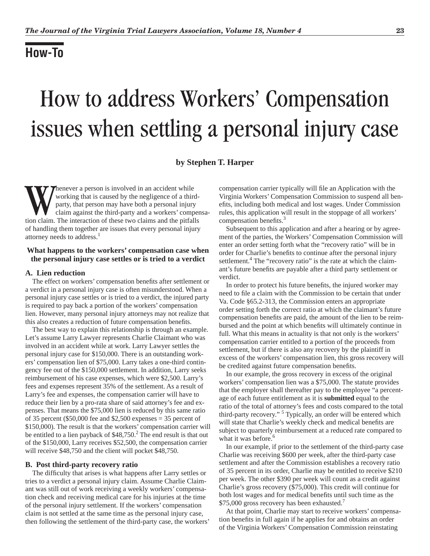# **How-To**

# How to address Workers' Compensation issues when settling a personal injury case

# **by Stephen T. Harper**

Whenever a person is involved in an accident while<br>
working that is caused by the negligence of a third-<br>
party, that person may have both a personal injury<br>
claim against the third-party and a workers' compen<br>
tion claim. working that is caused by the negligence of a thirdparty, that person may have both a personal injury claim against the third-party and a workers' compensaof handling them together are issues that every personal injury attorney needs to address.<sup>1</sup>

# **What happens to the workers' compensation case when the personal injury case settles or is tried to a verdict**

#### **A. Lien reduction**

The effect on workers' compensation benefits after settlement or a verdict in a personal injury case is often misunderstood. When a personal injury case settles or is tried to a verdict, the injured party is required to pay back a portion of the workers' compensation lien. However, many personal injury attorneys may not realize that this also creates a reduction of future compensation benefits.

The best way to explain this relationship is through an example. Let's assume Larry Lawyer represents Charlie Claimant who was involved in an accident while at work. Larry Lawyer settles the personal injury case for \$150,000. There is an outstanding workers' compensation lien of \$75,000. Larry takes a one-third contingency fee out of the \$150,000 settlement. In addition, Larry seeks reimbursement of his case expenses, which were \$2,500. Larry's fees and expenses represent 35% of the settlement. As a result of Larry's fee and expenses, the compensation carrier will have to reduce their lien by a pro-rata share of said attorney's fee and expenses. That means the \$75,000 lien is reduced by this same ratio of 35 percent (\$50,000 fee and \$2,500 expenses  $=$  35 percent of \$150,000). The result is that the workers' compensation carrier will be entitled to a lien payback of  $$48,750.<sup>2</sup>$  The end result is that out of the \$150,000, Larry receives \$52,500, the compensation carrier will receive \$48,750 and the client will pocket \$48,750.

#### **B. Post third-party recovery ratio**

The difficulty that arises is what happens after Larry settles or tries to a verdict a personal injury claim. Assume Charlie Claimant was still out of work receiving a weekly workers' compensation check and receiving medical care for his injuries at the time of the personal injury settlement. If the workers' compensation claim is not settled at the same time as the personal injury case, then following the settlement of the third-party case, the workers' compensation carrier typically will file an Application with the Virginia Workers' Compensation Commission to suspend all benefits, including both medical and lost wages. Under Commission rules, this application will result in the stoppage of all workers' compensation benefits. $3$ 

Subsequent to this application and after a hearing or by agreement of the parties, the Workers' Compensation Commission will enter an order setting forth what the "recovery ratio" will be in order for Charlie's benefits to continue after the personal injury settlement.<sup>4</sup> The "recovery ratio" is the rate at which the claimant's future benefits are payable after a third party settlement or verdict.

In order to protect his future benefits, the injured worker may need to file a claim with the Commission to be certain that under Va. Code §65.2-313, the Commission enters an appropriate order setting forth the correct ratio at which the claimant's future compensation benefits are paid, the amount of the lien to be reimbursed and the point at which benefits will ultimately continue in full. What this means in actuality is that not only is the workers' compensation carrier entitled to a portion of the proceeds from settlement, but if there is also any recovery by the plaintiff in excess of the workers' compensation lien, this gross recovery will be credited against future compensation benefits.

In our example, the gross recovery in excess of the original workers' compensation lien was a \$75,000. The statute provides that the employer shall thereafter pay to the employee "a percentage of each future entitlement as it is **submitted** equal to the ratio of the total of attorney's fees and costs compared to the total third-party recovery."<sup>5</sup> Typically, an order will be entered which will state that Charlie's weekly check and medical benefits are subject to quarterly reimbursement at a reduced rate compared to what it was before.<sup>6</sup>

In our example, if prior to the settlement of the third-party case Charlie was receiving \$600 per week, after the third-party case settlement and after the Commission establishes a recovery ratio of 35 percent in its order, Charlie may be entitled to receive \$210 per week. The other \$390 per week will count as a credit against Charlie's gross recovery (\$75,000). This credit will continue for both lost wages and for medical benefits until such time as the \$75,000 gross recovery has been exhausted.<sup>7</sup>

At that point, Charlie may start to receive workers' compensation benefits in full again if he applies for and obtains an order of the Virginia Workers' Compensation Commission reinstating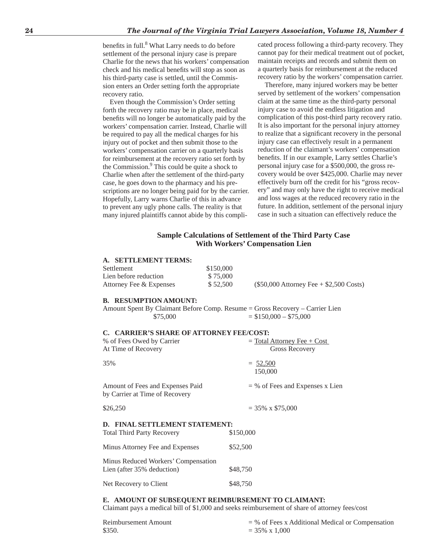benefits in full.<sup>8</sup> What Larry needs to do before settlement of the personal injury case is prepare Charlie for the news that his workers' compensation check and his medical benefits will stop as soon as his third-party case is settled, until the Commission enters an Order setting forth the appropriate recovery ratio.

Even though the Commission's Order setting forth the recovery ratio may be in place, medical benefits will no longer be automatically paid by the workers' compensation carrier. Instead, Charlie will be required to pay all the medical charges for his injury out of pocket and then submit those to the workers' compensation carrier on a quarterly basis for reimbursement at the recovery ratio set forth by the Commission.<sup>9</sup> This could be quite a shock to Charlie when after the settlement of the third-party case, he goes down to the pharmacy and his prescriptions are no longer being paid for by the carrier. Hopefully, Larry warns Charlie of this in advance to prevent any ugly phone calls. The reality is that many injured plaintiffs cannot abide by this complicated process following a third-party recovery. They cannot pay for their medical treatment out of pocket, maintain receipts and records and submit them on a quarterly basis for reimbursement at the reduced recovery ratio by the workers' compensation carrier.

Therefore, many injured workers may be better served by settlement of the workers' compensation claim at the same time as the third-party personal injury case to avoid the endless litigation and complication of this post-third party recovery ratio. It is also important for the personal injury attorney to realize that a significant recovery in the personal injury case can effectively result in a permanent reduction of the claimant's workers' compensation benefits. If in our example, Larry settles Charlie's personal injury case for a \$500,000, the gross recovery would be over \$425,000. Charlie may never effectively burn off the credit for his "gross recovery" and may only have the right to receive medical and loss wages at the reduced recovery ratio in the future. In addition, settlement of the personal injury case in such a situation can effectively reduce the

# **Sample Calculations of Settlement of the Third Party Case With Workers' Compensation Lien**

#### **A. SETTLEMENT TERMS:**

| Settlement              | \$150,000 |                                          |
|-------------------------|-----------|------------------------------------------|
| Lien before reduction   | \$75,000  |                                          |
| Attorney Fee & Expenses | \$52.500  | $($50,000$ Attorney Fee + \$2,500 Costs) |

## **B. RESUMPTION AMOUNT:**

Amount Spent By Claimant Before Comp. Resume = Gross Recovery – Carrier Lien  $$75,000 = $150,000 - $75,000$ 

#### **C. CARRIER'S SHARE OF ATTORNEY FEE/COST:**

| % of Fees Owed by Carrier<br>At Time of Recovery                    | $=$ Total Attorney Fee + Cost<br>Gross Recovery |
|---------------------------------------------------------------------|-------------------------------------------------|
| 35%                                                                 | $= 52,500$<br>150,000                           |
| Amount of Fees and Expenses Paid<br>by Carrier at Time of Recovery  | $=$ % of Fees and Expenses x Lien               |
| \$26,250                                                            | $=$ 35% x \$75,000                              |
| D. FINAL SETTLEMENT STATEMENT:<br><b>Total Third Party Recovery</b> | \$150,000                                       |

| Minus Attorney Fee and Expenses                                   | \$52,500 |
|-------------------------------------------------------------------|----------|
| Minus Reduced Workers' Compensation<br>Lien (after 35% deduction) | \$48,750 |
| Net Recovery to Client                                            | \$48,750 |

#### **E. AMOUNT OF SUBSEQUENT REIMBURSEMENT TO CLAIMANT:**

Claimant pays a medical bill of \$1,000 and seeks reimbursement of share of attorney fees/cost

| Reimbursement Amount | $=$ % of Fees x Additional Medical or Compensation |
|----------------------|----------------------------------------------------|
| \$350.               | $=$ 35% x 1.000                                    |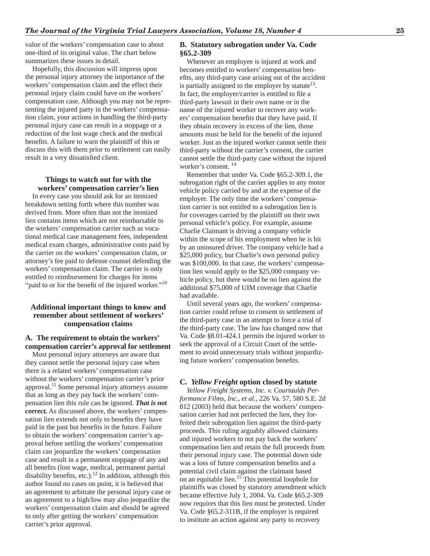value of the workers' compensation case to about one-third of its original value. The chart below summarizes these issues in detail.

Hopefully, this discussion will impress upon the personal injury attorney the importance of the workers' compensation claim and the effect their personal injury claim could have on the workers' compensation case. Although you may not be representing the injured party in the workers' compensation claim, your actions in handling the third-party personal injury case can result in a stoppage or a reduction of the lost wage check and the medical benefits. A failure to warn the plaintiff of this or discuss this with them prior to settlement can easily result in a very dissatisfied client.

# **Things to watch out for with the workers' compensation carrier's lien**

In every case you should ask for an itemized breakdown setting forth where this number was derived from. More often than not the itemized lien contains items which are not reimbursable to the workers' compensation carrier such as vocational medical case management fees, independent medical exam charges, administrative costs paid by the carrier on the workers' compensation claim, or attorney's fee paid to defense counsel defending the workers' compensation claim. The carrier is only entitled to reimbursement for charges for items "paid to or for the benefit of the injured worker."<sup>10</sup>

# **Additional important things to know and remember about settlement of workers' compensation claims**

# **A. The requirement to obtain the workers' compensation carrier's approval for settlement**

Most personal injury attorneys are aware that they cannot settle the personal injury case when there is a related workers' compensation case without the workers' compensation carrier's prior approval.11 Some personal injury attorneys assume that as long as they pay back the workers' compensation lien this rule can be ignored. *That is not correct.* As discussed above, the workers' compensation lien extends not only to benefits they have paid in the past but benefits in the future. Failure to obtain the workers' compensation carrier's approval before settling the workers' compensation claim can jeopardize the workers' compensation case and result in a permanent stoppage of any and all benefits (lost wage, medical, permanent partial disability benefits, etc.).<sup>12</sup> In addition, although this author found no cases on point, it is believed that an agreement to arbitrate the personal injury case or an agreement to a high/low may also jeopardize the workers' compensation claim and should be agreed to only after getting the workers' compensation carrier's prior approval.

### **B. Statutory subrogation under Va. Code §65.2-309**

Whenever an employee is injured at work and becomes entitled to workers' compensation benefits, any third-party case arising out of the accident is partially assigned to the employer by statute<sup>13</sup>. In fact, the employer/carrier is entitled to file a third-party lawsuit in their own name or in the name of the injured worker to recover any workers' compensation benefits that they have paid. If they obtain recovery in excess of the lien, those amounts must be held for the benefit of the injured worker. Just as the injured worker cannot settle their third-party without the carrier's consent, the carrier cannot settle the third-party case without the injured worker's consent. 14

Remember that under Va. Code §65.2-309.1, the subrogation right of the carrier applies to any motor vehicle policy carried by and at the expense of the employer. The only time the workers' compensation carrier is not entitled to a subrogation lien is for coverages carried by the plaintiff on their own personal vehicle's policy. For example, assume Charlie Claimant is driving a company vehicle within the scope of his employment when he is hit by an uninsured driver. The company vehicle had a \$25,000 policy, but Charlie's own personal policy was \$100,000. In that case, the workers' compensation lien would apply to the \$25,000 company vehicle policy, but there would be no lien against the additional \$75,000 of UIM coverage that Charlie had available.

Until several years ago, the workers' compensation carrier could refuse to consent to settlement of the third-party case in an attempt to force a trial of the third-party case. The law has changed now that Va. Code §8.01-424.1 permits the injured worker to seek the approval of a Circuit Court of the settlement to avoid unnecessary trials without jeopardizing future workers' compensation benefits.

#### **C.** *Yellow Freight* **option closed by statute**

*Yellow Freight Systems, Inc. v. Courtaulds Performance Films, Inc., et al.*, 226 Va. 57, 580 S.E. 2d 812 (2003) held that because the workers' compensation carrier had not perfected the lien, they forfeited their subrogation lien against the third-party proceeds. This ruling arguably allowed claimants and injured workers to not pay back the workers' compensation lien and retain the full proceeds from their personal injury case. The potential down side was a loss of future compensation benefits and a potential civil claim against the claimant based on an equitable lien.<sup>15</sup> This potential loophole for plaintiffs was closed by statutory amendment which became effective July 1, 2004. Va. Code §65.2-309 now requires that this lien must be protected. Under Va. Code §65.2-311B, if the employer is required to institute an action against any party to recovery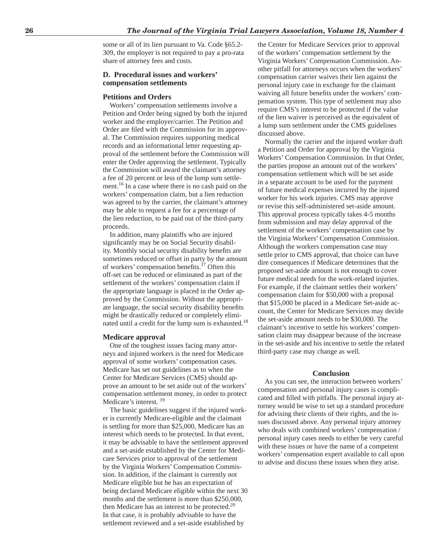some or all of its lien pursuant to Va. Code §65.2- 309, the employer is not required to pay a pro-rata share of attorney fees and costs.

#### **D. Procedural issues and workers' compensation settlements**

#### **Petitions and Orders**

Workers' compensation settlements involve a Petition and Order being signed by both the injured worker and the employer/carrier. The Petition and Order are filed with the Commission for its approval. The Commission requires supporting medical records and an informational letter requesting approval of the settlement before the Commission will enter the Order approving the settlement. Typically the Commission will award the claimant's attorney a fee of 20 percent or less of the lump sum settlement.<sup>16</sup> In a case where there is no cash paid on the workers' compensation claim, but a lien reduction was agreed to by the carrier, the claimant's attorney may be able to request a fee for a percentage of the lien reduction, to be paid out of the third-party proceeds.

In addition, many plaintiffs who are injured significantly may be on Social Security disability. Monthly social security disability benefits are sometimes reduced or offset in party by the amount of workers' compensation benefits.<sup>17</sup> Often this off-set can be reduced or eliminated as part of the settlement of the workers' compensation claim if the appropriate language is placed in the Order approved by the Commission. Without the appropriate language, the social security disability benefits might be drastically reduced or completely eliminated until a credit for the lump sum is exhausted.<sup>18</sup>

#### **Medicare approval**

One of the toughest issues facing many attorneys and injured workers is the need for Medicare approval of some workers' compensation cases. Medicare has set out guidelines as to when the Center for Medicare Services (CMS) should approve an amount to be set aside out of the workers' compensation settlement money, in order to protect Medicare's interest. <sup>19</sup>

The basic guidelines suggest if the injured worker is currently Medicare-eligible and the claimant is settling for more than \$25,000, Medicare has an interest which needs to be protected. In that event, it may be advisable to have the settlement approved and a set-aside established by the Center for Medicare Services prior to approval of the settlement by the Virginia Workers' Compensation Commission. In addition, if the claimant is currently not Medicare eligible but he has an expectation of being declared Medicare eligible within the next 30 months and the settlement is more than \$250,000, then Medicare has an interest to be protected. $20$ In that case, it is probably advisable to have the settlement reviewed and a set-aside established by

the Center for Medicare Services prior to approval of the workers' compensation settlement by the Virginia Workers' Compensation Commission. Another pitfall for attorneys occurs when the workers' compensation carrier waives their lien against the personal injury case in exchange for the claimant waiving all future benefits under the workers' compensation system. This type of settlement may also require CMS's interest to be protected if the value of the lien waiver is perceived as the equivalent of a lump sum settlement under the CMS guidelines discussed above.

Normally the carrier and the injured worker draft a Petition and Order for approval by the Virginia Workers' Compensation Commission. In that Order, the parties propose an amount out of the workers' compensation settlement which will be set aside in a separate account to be used for the payment of future medical expenses incurred by the injured worker for his work injuries. CMS may approve or revise this self-administered set-aside amount. This approval process typically takes 4-5 months from submission and may delay approval of the settlement of the workers' compensation case by the Virginia Workers' Compensation Commission. Although the workers compensation case may settle prior to CMS approval, that choice can have dire consequences if Medicare determines that the proposed set-aside amount is not enough to cover future medical needs for the work-related injuries. For example, if the claimant settles their workers' compensation claim for \$50,000 with a proposal that \$15,000 be placed in a Medicare Set-aside account, the Center for Medicare Services may decide the set-aside amount needs to be \$30,000. The claimant's incentive to settle his workers' compensation claim may disappear because of the increase in the set-aside and his incentive to settle the related third-party case may change as well.

#### **Conclusion**

As you can see, the interaction between workers' compensation and personal injury cases is complicated and filled with pitfalls. The personal injury attorney would be wise to set up a standard procedure for advising their clients of their rights, and the issues discussed above. Any personal injury attorney who deals with combined workers' compensation / personal injury cases needs to either be very careful with these issues or have the name of a competent workers' compensation expert available to call upon to advise and discuss these issues when they arise.